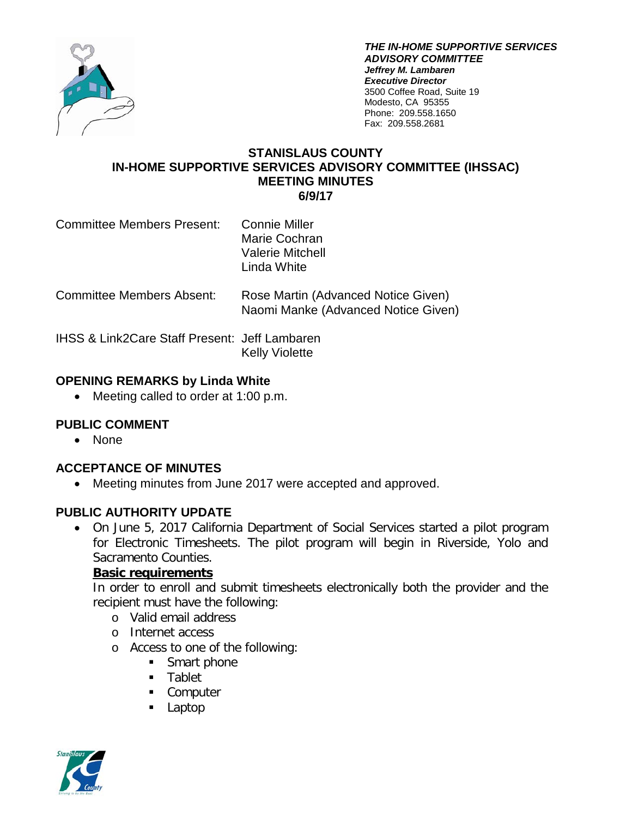

*THE IN-HOME SUPPORTIVE SERVICES ADVISORY COMMITTEE Jeffrey M. Lambaren Executive Director* 3500 Coffee Road, Suite 19 Modesto, CA 95355 Phone: 209.558.1650 Fax: 209.558.2681

#### **STANISLAUS COUNTY IN-HOME SUPPORTIVE SERVICES ADVISORY COMMITTEE (IHSSAC) MEETING MINUTES 6/9/17**

- Committee Members Present: Connie Miller Marie Cochran Valerie Mitchell Linda White
- Committee Members Absent: Rose Martin (Advanced Notice Given) Naomi Manke (Advanced Notice Given)

IHSS & Link2Care Staff Present: Jeff Lambaren Kelly Violette

# **OPENING REMARKS by Linda White**

• Meeting called to order at 1:00 p.m.

# **PUBLIC COMMENT**

• None

# **ACCEPTANCE OF MINUTES**

• Meeting minutes from June 2017 were accepted and approved.

# **PUBLIC AUTHORITY UPDATE**

• On June 5, 2017 California Department of Social Services started a pilot program for Electronic Timesheets. The pilot program will begin in Riverside, Yolo and Sacramento Counties.

# **Basic requirements**

In order to enroll and submit timesheets electronically both the provider and the recipient must have the following:

- o Valid email address
- o Internet access
- o Access to one of the following:
	- Smart phone
	- **Tablet**
	- **Computer**
	- **Laptop**